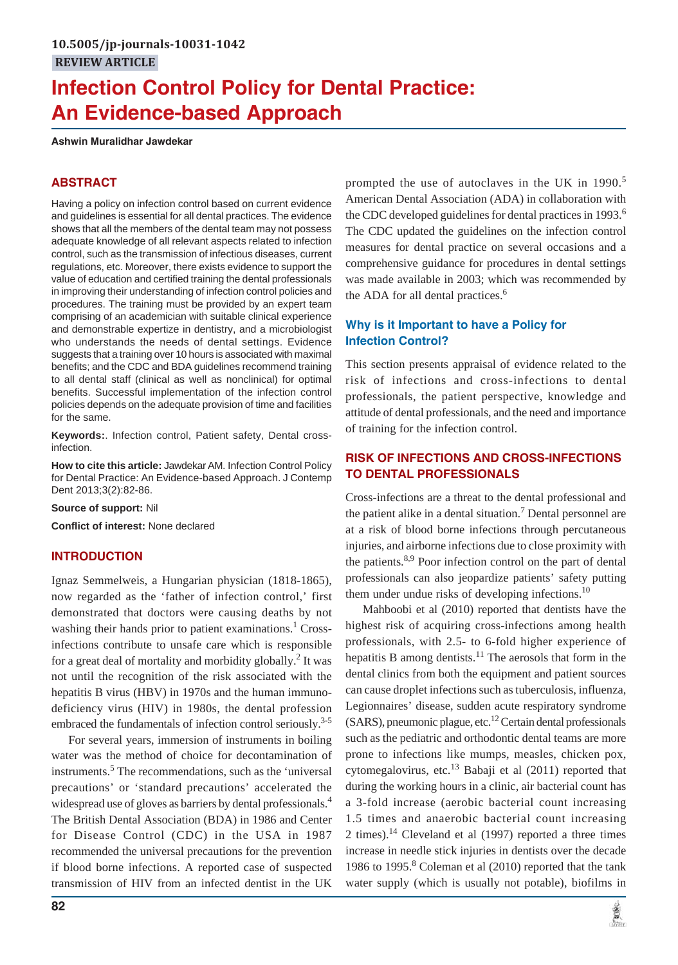# **Infection Control Policy for Dental Practice: An Evidence-based Approach**

**Ashwin Muralidhar Jawdekar**

### **ABSTRACT**

Having a policy on infection control based on current evidence and guidelines is essential for all dental practices. The evidence shows that all the members of the dental team may not possess adequate knowledge of all relevant aspects related to infection control, such as the transmission of infectious diseases, current regulations, etc. Moreover, there exists evidence to support the value of education and certified training the dental professionals in improving their understanding of infection control policies and procedures. The training must be provided by an expert team comprising of an academician with suitable clinical experience and demonstrable expertize in dentistry, and a microbiologist who understands the needs of dental settings. Evidence suggests that a training over 10 hours is associated with maximal benefits; and the CDC and BDA guidelines recommend training to all dental staff (clinical as well as nonclinical) for optimal benefits. Successful implementation of the infection control policies depends on the adequate provision of time and facilities for the same.

**Keywords:**. Infection control, Patient safety, Dental crossinfection.

**How to cite this article:** Jawdekar AM. Infection Control Policy for Dental Practice: An Evidence-based Approach. J Contemp Dent 2013;3(2):82-86.

**Source of support:** Nil

**Conflict of interest:** None declared

#### **INTRODUCTION**

Ignaz Semmelweis, a Hungarian physician (1818-1865), now regarded as the 'father of infection control,' first demonstrated that doctors were causing deaths by not washing their hands prior to patient examinations.<sup>1</sup> Crossinfections contribute to unsafe care which is responsible for a great deal of mortality and morbidity globally.<sup>2</sup> It was not until the recognition of the risk associated with the hepatitis B virus (HBV) in 1970s and the human immunodeficiency virus (HIV) in 1980s, the dental profession embraced the fundamentals of infection control seriously.<sup>3-5</sup>

For several years, immersion of instruments in boiling water was the method of choice for decontamination of instruments.<sup>5</sup> The recommendations, such as the 'universal precautions' or 'standard precautions' accelerated the widespread use of gloves as barriers by dental professionals.<sup>4</sup> The British Dental Association (BDA) in 1986 and Center for Disease Control (CDC) in the USA in 1987 recommended the universal precautions for the prevention if blood borne infections. A reported case of suspected transmission of HIV from an infected dentist in the UK

prompted the use of autoclaves in the UK in  $1990$ <sup>5</sup> American Dental Association (ADA) in collaboration with the CDC developed guidelines for dental practices in 1993.<sup>6</sup> The CDC updated the guidelines on the infection control measures for dental practice on several occasions and a comprehensive guidance for procedures in dental settings was made available in 2003; which was recommended by the ADA for all dental practices. $<sup>6</sup>$ </sup>

## **Why is it Important to have a Policy for Infection Control?**

This section presents appraisal of evidence related to the risk of infections and cross-infections to dental professionals, the patient perspective, knowledge and attitude of dental professionals, and the need and importance of training for the infection control.

#### **RISK OF INFECTIONS AND CROSS-INFECTIONS TO DENTAL PROFESSIONALS**

Cross-infections are a threat to the dental professional and the patient alike in a dental situation.<sup>7</sup> Dental personnel are at a risk of blood borne infections through percutaneous injuries, and airborne infections due to close proximity with the patients. $8,9$  Poor infection control on the part of dental professionals can also jeopardize patients' safety putting them under undue risks of developing infections. $^{10}$ 

Mahboobi et al (2010) reported that dentists have the highest risk of acquiring cross-infections among health professionals, with 2.5- to 6-fold higher experience of hepatitis B among dentists.<sup>11</sup> The aerosols that form in the dental clinics from both the equipment and patient sources can cause droplet infections such as tuberculosis, influenza, Legionnaires' disease, sudden acute respiratory syndrome  $(SARS)$ , pneumonic plague, etc.<sup>12</sup> Certain dental professionals such as the pediatric and orthodontic dental teams are more prone to infections like mumps, measles, chicken pox, cytomegalovirus, etc.<sup>13</sup> Babaji et al  $(2011)$  reported that during the working hours in a clinic, air bacterial count has a 3-fold increase (aerobic bacterial count increasing 1.5 times and anaerobic bacterial count increasing 2 times).<sup>14</sup> Cleveland et al  $(1997)$  reported a three times increase in needle stick injuries in dentists over the decade 1986 to 1995.<sup>8</sup> Coleman et al (2010) reported that the tank water supply (which is usually not potable), biofilms in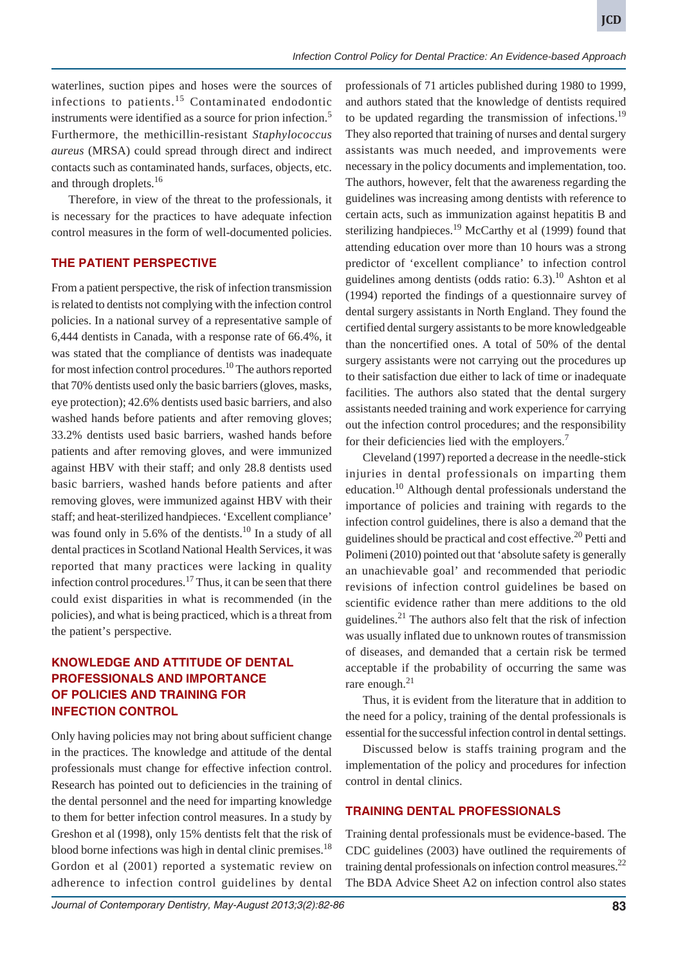waterlines, suction pipes and hoses were the sources of infections to patients.<sup>15</sup> Contaminated endodontic instruments were identified as a source for prion infection.5 Furthermore, the methicillin-resistant *Staphylococcus aureus* (MRSA) could spread through direct and indirect contacts such as contaminated hands, surfaces, objects, etc. and through droplets.<sup>16</sup>

Therefore, in view of the threat to the professionals, it is necessary for the practices to have adequate infection control measures in the form of well-documented policies.

#### **THE PATIENT PERSPECTIVE**

From a patient perspective, the risk of infection transmission is related to dentists not complying with the infection control policies. In a national survey of a representative sample of 6,444 dentists in Canada, with a response rate of 66.4%, it was stated that the compliance of dentists was inadequate for most infection control procedures.<sup>10</sup> The authors reported that 70% dentists used only the basic barriers (gloves, masks, eye protection); 42.6% dentists used basic barriers, and also washed hands before patients and after removing gloves; 33.2% dentists used basic barriers, washed hands before patients and after removing gloves, and were immunized against HBV with their staff; and only 28.8 dentists used basic barriers, washed hands before patients and after removing gloves, were immunized against HBV with their staff; and heat-sterilized handpieces. 'Excellent compliance' was found only in  $5.6\%$  of the dentists.<sup>10</sup> In a study of all dental practices in Scotland National Health Services, it was reported that many practices were lacking in quality infection control procedures.<sup>17</sup> Thus, it can be seen that there could exist disparities in what is recommended (in the policies), and what is being practiced, which is a threat from the patient's perspective.

## **KNOWLEDGE AND ATTITUDE OF DENTAL PROFESSIONALS AND IMPORTANCE OF POLICIES AND TRAINING FOR INFECTION CONTROL**

Only having policies may not bring about sufficient change in the practices. The knowledge and attitude of the dental professionals must change for effective infection control. Research has pointed out to deficiencies in the training of the dental personnel and the need for imparting knowledge to them for better infection control measures. In a study by Greshon et al (1998), only 15% dentists felt that the risk of blood borne infections was high in dental clinic premises.<sup>18</sup> Gordon et al (2001) reported a systematic review on adherence to infection control guidelines by dental

professionals of 71 articles published during 1980 to 1999, and authors stated that the knowledge of dentists required to be updated regarding the transmission of infections.<sup>19</sup> They also reported that training of nurses and dental surgery assistants was much needed, and improvements were necessary in the policy documents and implementation, too. The authors, however, felt that the awareness regarding the guidelines was increasing among dentists with reference to certain acts, such as immunization against hepatitis B and sterilizing handpieces.<sup>19</sup> McCarthy et al  $(1999)$  found that attending education over more than 10 hours was a strong predictor of 'excellent compliance' to infection control guidelines among dentists (odds ratio:  $6.3$ ).<sup>10</sup> Ashton et al (1994) reported the findings of a questionnaire survey of dental surgery assistants in North England. They found the certified dental surgery assistants to be more knowledgeable than the noncertified ones. A total of 50% of the dental surgery assistants were not carrying out the procedures up to their satisfaction due either to lack of time or inadequate facilities. The authors also stated that the dental surgery assistants needed training and work experience for carrying out the infection control procedures; and the responsibility for their deficiencies lied with the employers.<sup>7</sup>

Cleveland (1997) reported a decrease in the needle-stick injuries in dental professionals on imparting them education.<sup>10</sup> Although dental professionals understand the importance of policies and training with regards to the infection control guidelines, there is also a demand that the guidelines should be practical and cost effective.<sup>20</sup> Petti and Polimeni (2010) pointed out that 'absolute safety is generally an unachievable goal' and recommended that periodic revisions of infection control guidelines be based on scientific evidence rather than mere additions to the old guidelines. $^{21}$  The authors also felt that the risk of infection was usually inflated due to unknown routes of transmission of diseases, and demanded that a certain risk be termed acceptable if the probability of occurring the same was rare enough. $^{21}$ 

Thus, it is evident from the literature that in addition to the need for a policy, training of the dental professionals is essential for the successful infection control in dental settings.

Discussed below is staffs training program and the implementation of the policy and procedures for infection control in dental clinics.

## **TRAINING DENTAL PROFESSIONALS**

Training dental professionals must be evidence-based. The CDC guidelines (2003) have outlined the requirements of training dental professionals on infection control measures.<sup>22</sup> The BDA Advice Sheet A2 on infection control also states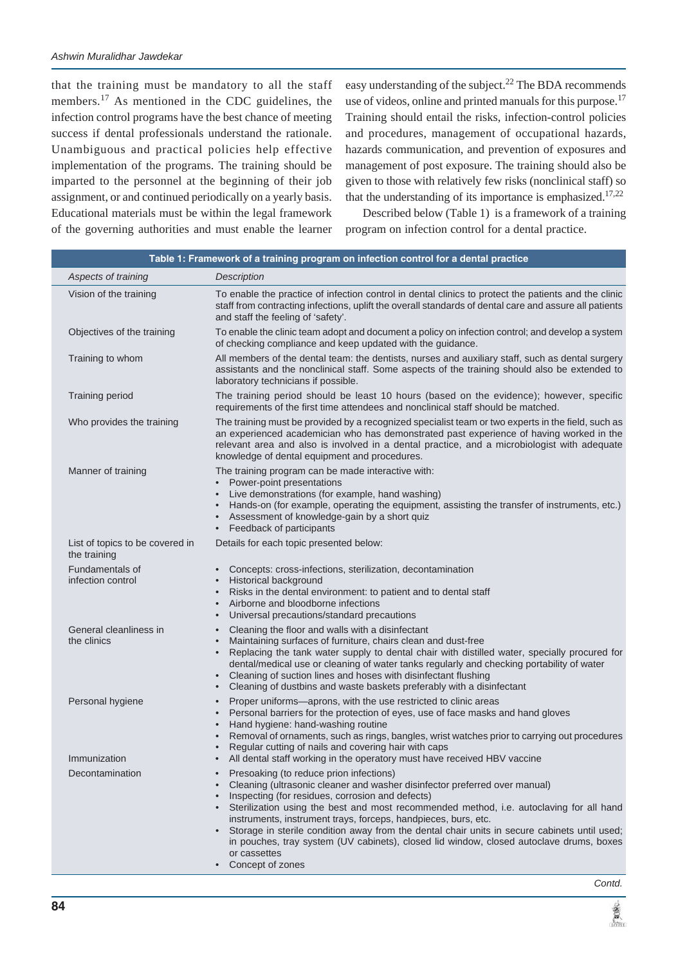that the training must be mandatory to all the staff members.<sup>17</sup> As mentioned in the CDC guidelines, the infection control programs have the best chance of meeting success if dental professionals understand the rationale. Unambiguous and practical policies help effective implementation of the programs. The training should be imparted to the personnel at the beginning of their job assignment, or and continued periodically on a yearly basis. Educational materials must be within the legal framework of the governing authorities and must enable the learner easy understanding of the subject.<sup>22</sup> The BDA recommends use of videos, online and printed manuals for this purpose.<sup>17</sup> Training should entail the risks, infection-control policies and procedures, management of occupational hazards, hazards communication, and prevention of exposures and management of post exposure. The training should also be given to those with relatively few risks (nonclinical staff) so that the understanding of its importance is emphasized.<sup>17,22</sup>

Described below (Table 1) is a framework of a training program on infection control for a dental practice.

| Table 1: Framework of a training program on infection control for a dental practice |                                                                                                                                                                                                                                                                                                                                                                                                                                                                                                                                                                                                     |  |
|-------------------------------------------------------------------------------------|-----------------------------------------------------------------------------------------------------------------------------------------------------------------------------------------------------------------------------------------------------------------------------------------------------------------------------------------------------------------------------------------------------------------------------------------------------------------------------------------------------------------------------------------------------------------------------------------------------|--|
| Aspects of training                                                                 | Description                                                                                                                                                                                                                                                                                                                                                                                                                                                                                                                                                                                         |  |
| Vision of the training                                                              | To enable the practice of infection control in dental clinics to protect the patients and the clinic<br>staff from contracting infections, uplift the overall standards of dental care and assure all patients<br>and staff the feeling of 'safety'.                                                                                                                                                                                                                                                                                                                                                |  |
| Objectives of the training                                                          | To enable the clinic team adopt and document a policy on infection control; and develop a system<br>of checking compliance and keep updated with the guidance.                                                                                                                                                                                                                                                                                                                                                                                                                                      |  |
| Training to whom                                                                    | All members of the dental team: the dentists, nurses and auxiliary staff, such as dental surgery<br>assistants and the nonclinical staff. Some aspects of the training should also be extended to<br>laboratory technicians if possible.                                                                                                                                                                                                                                                                                                                                                            |  |
| <b>Training period</b>                                                              | The training period should be least 10 hours (based on the evidence); however, specific<br>requirements of the first time attendees and nonclinical staff should be matched.                                                                                                                                                                                                                                                                                                                                                                                                                        |  |
| Who provides the training                                                           | The training must be provided by a recognized specialist team or two experts in the field, such as<br>an experienced academician who has demonstrated past experience of having worked in the<br>relevant area and also is involved in a dental practice, and a microbiologist with adequate<br>knowledge of dental equipment and procedures.                                                                                                                                                                                                                                                       |  |
| Manner of training                                                                  | The training program can be made interactive with:                                                                                                                                                                                                                                                                                                                                                                                                                                                                                                                                                  |  |
|                                                                                     | • Power-point presentations<br>Live demonstrations (for example, hand washing)<br>$\bullet$<br>Hands-on (for example, operating the equipment, assisting the transfer of instruments, etc.)<br>• Assessment of knowledge-gain by a short quiz<br>• Feedback of participants                                                                                                                                                                                                                                                                                                                         |  |
| List of topics to be covered in<br>the training                                     | Details for each topic presented below:                                                                                                                                                                                                                                                                                                                                                                                                                                                                                                                                                             |  |
| Fundamentals of<br>infection control                                                | • Concepts: cross-infections, sterilization, decontamination<br>• Historical background<br>Risks in the dental environment: to patient and to dental staff<br>$\bullet$<br>Airborne and bloodborne infections<br>$\bullet$<br>Universal precautions/standard precautions<br>$\bullet$                                                                                                                                                                                                                                                                                                               |  |
| General cleanliness in<br>the clinics                                               | Cleaning the floor and walls with a disinfectant<br>$\bullet$<br>Maintaining surfaces of furniture, chairs clean and dust-free<br>$\bullet$<br>• Replacing the tank water supply to dental chair with distilled water, specially procured for<br>dental/medical use or cleaning of water tanks regularly and checking portability of water<br>• Cleaning of suction lines and hoses with disinfectant flushing<br>Cleaning of dustbins and waste baskets preferably with a disinfectant<br>$\bullet$                                                                                                |  |
| Personal hygiene                                                                    | Proper uniforms-aprons, with the use restricted to clinic areas<br>$\bullet$<br>Personal barriers for the protection of eyes, use of face masks and hand gloves<br>$\bullet$<br>Hand hygiene: hand-washing routine<br>$\bullet$<br>Removal of ornaments, such as rings, bangles, wrist watches prior to carrying out procedures<br>$\bullet$<br>Regular cutting of nails and covering hair with caps                                                                                                                                                                                                |  |
| Immunization                                                                        | • All dental staff working in the operatory must have received HBV vaccine                                                                                                                                                                                                                                                                                                                                                                                                                                                                                                                          |  |
| Decontamination                                                                     | Presoaking (to reduce prion infections)<br>Cleaning (ultrasonic cleaner and washer disinfector preferred over manual)<br>$\bullet$<br>Inspecting (for residues, corrosion and defects)<br>• Sterilization using the best and most recommended method, i.e. autoclaving for all hand<br>instruments, instrument trays, forceps, handpieces, burs, etc.<br>• Storage in sterile condition away from the dental chair units in secure cabinets until used;<br>in pouches, tray system (UV cabinets), closed lid window, closed autoclave drums, boxes<br>or cassettes<br>Concept of zones<br>$\bullet$ |  |

黨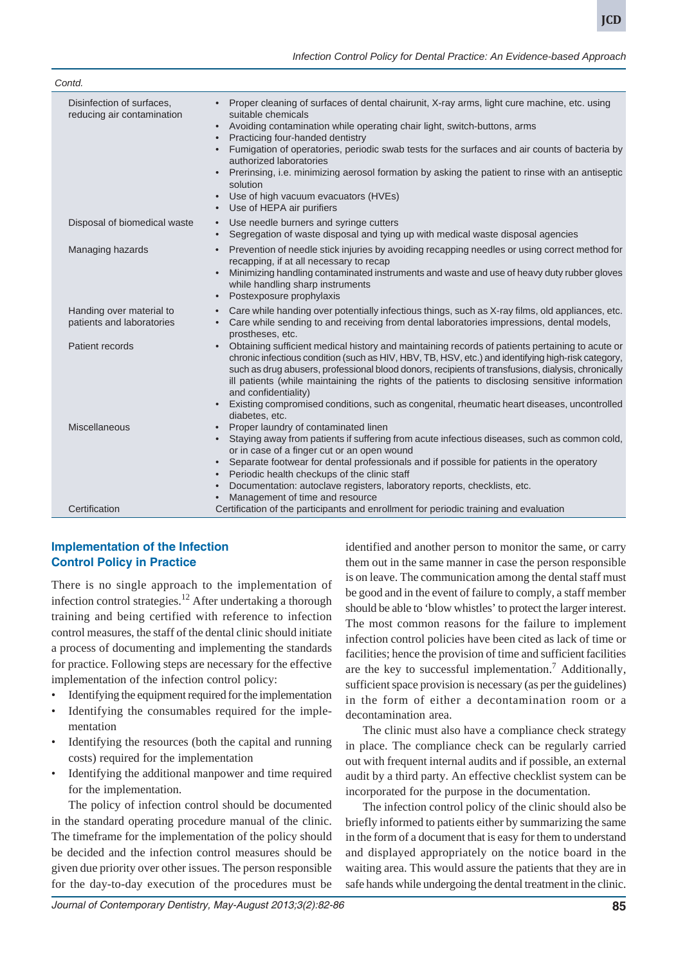| Contd.                                                  |                                                                                                                                                                                                                                                                                                                                                                                                                                                                                                                                                                                              |
|---------------------------------------------------------|----------------------------------------------------------------------------------------------------------------------------------------------------------------------------------------------------------------------------------------------------------------------------------------------------------------------------------------------------------------------------------------------------------------------------------------------------------------------------------------------------------------------------------------------------------------------------------------------|
| Disinfection of surfaces,<br>reducing air contamination | • Proper cleaning of surfaces of dental chairunit, X-ray arms, light cure machine, etc. using<br>suitable chemicals<br>Avoiding contamination while operating chair light, switch-buttons, arms<br>$\bullet$<br>Practicing four-handed dentistry<br>Fumigation of operatories, periodic swab tests for the surfaces and air counts of bacteria by<br>authorized laboratories<br>• Prerinsing, i.e. minimizing aerosol formation by asking the patient to rinse with an antiseptic<br>solution<br>Use of high vacuum evacuators (HVEs)<br>$\bullet$<br>Use of HEPA air purifiers<br>$\bullet$ |
| Disposal of biomedical waste                            | Use needle burners and syringe cutters<br>$\bullet$<br>Segregation of waste disposal and tying up with medical waste disposal agencies<br>$\bullet$                                                                                                                                                                                                                                                                                                                                                                                                                                          |
| Managing hazards                                        | Prevention of needle stick injuries by avoiding recapping needles or using correct method for<br>$\bullet$<br>recapping, if at all necessary to recap<br>Minimizing handling contaminated instruments and waste and use of heavy duty rubber gloves<br>while handling sharp instruments<br>Postexposure prophylaxis<br>$\bullet$                                                                                                                                                                                                                                                             |
| Handing over material to<br>patients and laboratories   | Care while handing over potentially infectious things, such as X-ray films, old appliances, etc.<br>$\bullet$<br>Care while sending to and receiving from dental laboratories impressions, dental models,<br>$\bullet$<br>prostheses, etc.                                                                                                                                                                                                                                                                                                                                                   |
| Patient records                                         | Obtaining sufficient medical history and maintaining records of patients pertaining to acute or<br>$\bullet$<br>chronic infectious condition (such as HIV, HBV, TB, HSV, etc.) and identifying high-risk category,<br>such as drug abusers, professional blood donors, recipients of transfusions, dialysis, chronically<br>ill patients (while maintaining the rights of the patients to disclosing sensitive information<br>and confidentiality)<br>Existing compromised conditions, such as congenital, rheumatic heart diseases, uncontrolled<br>$\bullet$                               |
| Miscellaneous                                           | diabetes, etc.<br>Proper laundry of contaminated linen<br>$\bullet$<br>Staying away from patients if suffering from acute infectious diseases, such as common cold,<br>$\bullet$<br>or in case of a finger cut or an open wound<br>Separate footwear for dental professionals and if possible for patients in the operatory<br>$\bullet$<br>Periodic health checkups of the clinic staff<br>$\bullet$<br>Documentation: autoclave registers, laboratory reports, checklists, etc.<br>$\bullet$<br>Management of time and resource                                                            |
| Certification                                           | Certification of the participants and enrollment for periodic training and evaluation                                                                                                                                                                                                                                                                                                                                                                                                                                                                                                        |

# **Implementation of the Infection Control Policy in Practice**

There is no single approach to the implementation of infection control strategies.<sup>12</sup> After undertaking a thorough training and being certified with reference to infection control measures, the staff of the dental clinic should initiate a process of documenting and implementing the standards for practice. Following steps are necessary for the effective implementation of the infection control policy:

- Identifying the equipment required for the implementation
- Identifying the consumables required for the implementation
- Identifying the resources (both the capital and running costs) required for the implementation
- Identifying the additional manpower and time required for the implementation.

The policy of infection control should be documented in the standard operating procedure manual of the clinic. The timeframe for the implementation of the policy should be decided and the infection control measures should be given due priority over other issues. The person responsible for the day-to-day execution of the procedures must be

identified and another person to monitor the same, or carry them out in the same manner in case the person responsible is on leave. The communication among the dental staff must be good and in the event of failure to comply, a staff member should be able to 'blow whistles' to protect the larger interest. The most common reasons for the failure to implement infection control policies have been cited as lack of time or facilities; hence the provision of time and sufficient facilities are the key to successful implementation.<sup>7</sup> Additionally, sufficient space provision is necessary (as per the guidelines) in the form of either a decontamination room or a decontamination area.

The clinic must also have a compliance check strategy in place. The compliance check can be regularly carried out with frequent internal audits and if possible, an external audit by a third party. An effective checklist system can be incorporated for the purpose in the documentation.

The infection control policy of the clinic should also be briefly informed to patients either by summarizing the same in the form of a document that is easy for them to understand and displayed appropriately on the notice board in the waiting area. This would assure the patients that they are in safe hands while undergoing the dental treatment in the clinic.